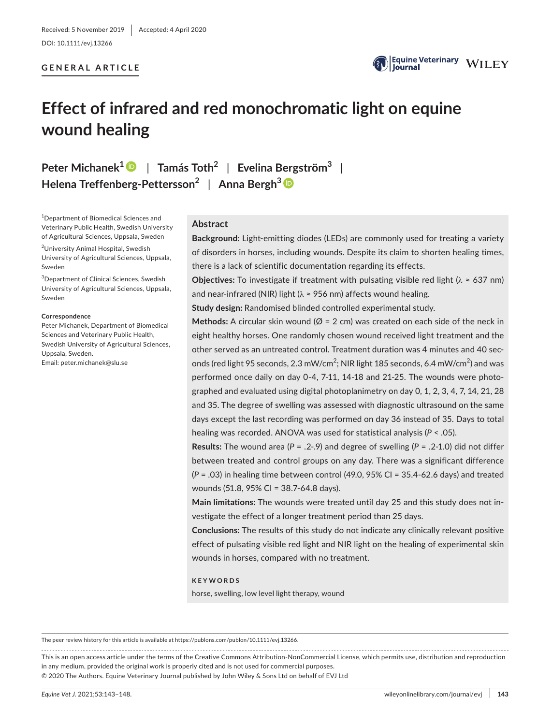## **GENERAL ARTICLE**



## **Effect of infrared and red monochromatic light on equine wound healing**

**Peter Michanek1** | **Tamás Toth<sup>2</sup>** | **Evelina Bergström3** | **Helena Treffenberg-Pettersson<sup>2</sup>** | **Anna Bergh3**

1 Department of Biomedical Sciences and Veterinary Public Health, Swedish University of Agricultural Sciences, Uppsala, Sweden

<sup>2</sup>University Animal Hospital, Swedish University of Agricultural Sciences, Uppsala, Sweden

3 Department of Clinical Sciences, Swedish University of Agricultural Sciences, Uppsala, Sweden

#### **Correspondence**

Peter Michanek, Department of Biomedical Sciences and Veterinary Public Health, Swedish University of Agricultural Sciences, Uppsala, Sweden. Email: [peter.michanek@slu.se](mailto:peter.michanek@slu.se)

## **Abstract**

**Background:** Light-emitting diodes (LEDs) are commonly used for treating a variety of disorders in horses, including wounds. Despite its claim to shorten healing times, there is a lack of scientific documentation regarding its effects.

**Objectives:** To investigate if treatment with pulsating visible red light ( $\lambda \approx 637$  nm) and near-infrared (NIR) light ( $\lambda \approx 956$  nm) affects wound healing.

**Study design:** Randomised blinded controlled experimental study.

**Methods:** A circular skin wound ( $\varnothing$  = 2 cm) was created on each side of the neck in eight healthy horses. One randomly chosen wound received light treatment and the other served as an untreated control. Treatment duration was 4 minutes and 40 seconds (red light 95 seconds, 2.3 mW/cm<sup>2</sup>; NIR light 185 seconds, 6.4 mW/cm<sup>2</sup>) and was performed once daily on day 0-4, 7-11, 14-18 and 21-25. The wounds were photographed and evaluated using digital photoplanimetry on day 0, 1, 2, 3, 4, 7, 14, 21, 28 and 35. The degree of swelling was assessed with diagnostic ultrasound on the same days except the last recording was performed on day 36 instead of 35. Days to total healing was recorded. ANOVA was used for statistical analysis (*P* < .05).

**Results:** The wound area ( $P = .2$ -.9) and degree of swelling ( $P = .2$ -1.0) did not differ between treated and control groups on any day. There was a significant difference (*P* = .03) in healing time between control (49.0, 95% CI = 35.4-62.6 days) and treated wounds (51.8, 95% CI = 38.7-64.8 days).

**Main limitations:** The wounds were treated until day 25 and this study does not investigate the effect of a longer treatment period than 25 days.

**Conclusions:** The results of this study do not indicate any clinically relevant positive effect of pulsating visible red light and NIR light on the healing of experimental skin wounds in horses, compared with no treatment.

## **KEYWORDS**

horse, swelling, low level light therapy, wound

The peer review history for this article is available at [https://publons.com/publon/10.1111/evj.13266.](https://publons.com/publon/10.1111/evj.13266)

This is an open access article under the terms of the [Creative Commons Attribution-NonCommercial](http://creativecommons.org/licenses/by-nc/4.0/) License, which permits use, distribution and reproduction in any medium, provided the original work is properly cited and is not used for commercial purposes. © 2020 The Authors. Equine Veterinary Journal published by John Wiley & Sons Ltd on behalf of EVJ Ltd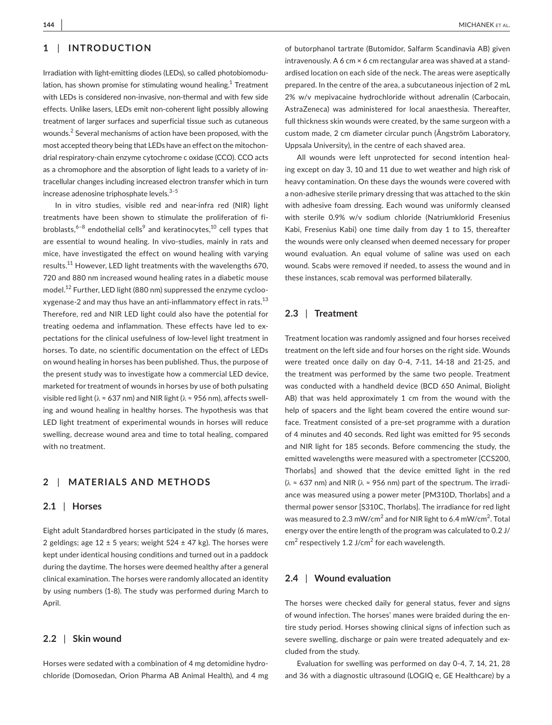## **1** | **INTRODUCTION**

Irradiation with light-emitting diodes (LEDs), so called photobiomodulation, has shown promise for stimulating wound healing.<sup>1</sup> Treatment with LEDs is considered non-invasive, non-thermal and with few side effects. Unlike lasers, LEDs emit non-coherent light possibly allowing treatment of larger surfaces and superficial tissue such as cutaneous wounds.<sup>2</sup> Several mechanisms of action have been proposed, with the most accepted theory being that LEDs have an effect on the mitochondrial respiratory-chain enzyme cytochrome c oxidase (CCO). CCO acts as a chromophore and the absorption of light leads to a variety of intracellular changes including increased electron transfer which in turn increase adenosine triphosphate levels. $3-5$ 

In in vitro studies, visible red and near-infra red (NIR) light treatments have been shown to stimulate the proliferation of fibroblasts, $6-8$  endothelial cells $^9$  and keratinocytes, $^{10}$  cell types that are essential to wound healing. In vivo-studies, mainly in rats and mice, have investigated the effect on wound healing with varying results.<sup>11</sup> However, LED light treatments with the wavelengths 670, 720 and 880 nm increased wound healing rates in a diabetic mouse model.12 Further, LED light (880 nm) suppressed the enzyme cyclooxygenase-2 and may thus have an anti-inflammatory effect in rats.<sup>13</sup> Therefore, red and NIR LED light could also have the potential for treating oedema and inflammation. These effects have led to expectations for the clinical usefulness of low-level light treatment in horses. To date, no scientific documentation on the effect of LEDs on wound healing in horses has been published. Thus, the purpose of the present study was to investigate how a commercial LED device, marketed for treatment of wounds in horses by use of both pulsating visible red light (λ ≈ 637 nm) and NIR light (λ ≈ 956 nm), affects swelling and wound healing in healthy horses. The hypothesis was that LED light treatment of experimental wounds in horses will reduce swelling, decrease wound area and time to total healing, compared with no treatment.

## **2** | **MATERIALS AND METHODS**

## **2.1** | **Horses**

Eight adult Standardbred horses participated in the study (6 mares, 2 geldings; age  $12 \pm 5$  years; weight  $524 \pm 47$  kg). The horses were kept under identical housing conditions and turned out in a paddock during the daytime. The horses were deemed healthy after a general clinical examination. The horses were randomly allocated an identity by using numbers (1-8). The study was performed during March to April.

## **2.2** | **Skin wound**

Horses were sedated with a combination of 4 mg detomidine hydrochloride (Domosedan, Orion Pharma AB Animal Health), and 4 mg

of butorphanol tartrate (Butomidor, Salfarm Scandinavia AB) given intravenously. A 6 cm × 6 cm rectangular area was shaved at a standardised location on each side of the neck. The areas were aseptically prepared. In the centre of the area, a subcutaneous injection of 2 mL 2% w/v mepivacaine hydrochloride without adrenalin (Carbocain, AstraZeneca) was administered for local anaesthesia. Thereafter, full thickness skin wounds were created, by the same surgeon with a custom made, 2 cm diameter circular punch (Ångström Laboratory, Uppsala University), in the centre of each shaved area.

All wounds were left unprotected for second intention healing except on day 3, 10 and 11 due to wet weather and high risk of heavy contamination. On these days the wounds were covered with a non-adhesive sterile primary dressing that was attached to the skin with adhesive foam dressing. Each wound was uniformly cleansed with sterile 0.9% w/v sodium chloride (Natriumklorid Fresenius Kabi, Fresenius Kabi) one time daily from day 1 to 15, thereafter the wounds were only cleansed when deemed necessary for proper wound evaluation. An equal volume of saline was used on each wound. Scabs were removed if needed, to assess the wound and in these instances, scab removal was performed bilaterally.

#### **2.3** | **Treatment**

Treatment location was randomly assigned and four horses received treatment on the left side and four horses on the right side. Wounds were treated once daily on day 0-4, 7-11, 14-18 and 21-25, and the treatment was performed by the same two people. Treatment was conducted with a handheld device (BCD 650 Animal, Biolight AB) that was held approximately 1 cm from the wound with the help of spacers and the light beam covered the entire wound surface. Treatment consisted of a pre-set programme with a duration of 4 minutes and 40 seconds. Red light was emitted for 95 seconds and NIR light for 185 seconds. Before commencing the study, the emitted wavelengths were measured with a spectrometer [CCS200, Thorlabs] and showed that the device emitted light in the red ( $\lambda \approx 637$  nm) and NIR ( $\lambda \approx 956$  nm) part of the spectrum. The irradiance was measured using a power meter [PM310D, Thorlabs] and a thermal power sensor [S310C, Thorlabs]. The irradiance for red light was measured to 2.3 mW/cm<sup>2</sup> and for NIR light to 6.4 mW/cm<sup>2</sup>. Total energy over the entire length of the program was calculated to 0.2 J/  $\textsf{cm}^{2}$  respectively 1.2 J/cm<sup>2</sup> for each wavelength.

## **2.4** | **Wound evaluation**

The horses were checked daily for general status, fever and signs of wound infection. The horses' manes were braided during the entire study period. Horses showing clinical signs of infection such as severe swelling, discharge or pain were treated adequately and excluded from the study.

Evaluation for swelling was performed on day 0-4, 7, 14, 21, 28 and 36 with a diagnostic ultrasound (LOGIQ e, GE Healthcare) by a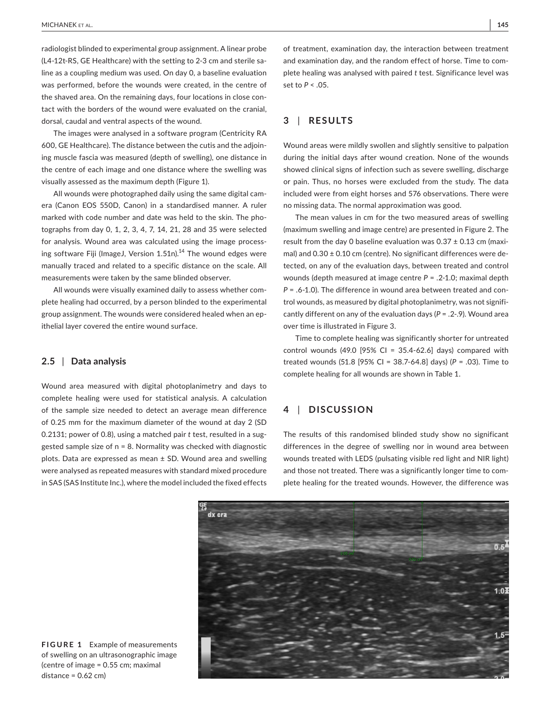radiologist blinded to experimental group assignment. A linear probe (L4-12t-RS, GE Healthcare) with the setting to 2-3 cm and sterile saline as a coupling medium was used. On day 0, a baseline evaluation was performed, before the wounds were created, in the centre of the shaved area. On the remaining days, four locations in close contact with the borders of the wound were evaluated on the cranial, dorsal, caudal and ventral aspects of the wound.

The images were analysed in a software program (Centricity RA 600, GE Healthcare). The distance between the cutis and the adjoining muscle fascia was measured (depth of swelling), one distance in the centre of each image and one distance where the swelling was visually assessed as the maximum depth (Figure 1).

All wounds were photographed daily using the same digital camera (Canon EOS 550D, Canon) in a standardised manner. A ruler marked with code number and date was held to the skin. The photographs from day 0, 1, 2, 3, 4, 7, 14, 21, 28 and 35 were selected for analysis. Wound area was calculated using the image processing software Fiji (ImageJ, Version  $1.51n$ ).<sup>14</sup> The wound edges were manually traced and related to a specific distance on the scale. All measurements were taken by the same blinded observer.

All wounds were visually examined daily to assess whether complete healing had occurred, by a person blinded to the experimental group assignment. The wounds were considered healed when an epithelial layer covered the entire wound surface.

## **2.5** | **Data analysis**

Wound area measured with digital photoplanimetry and days to complete healing were used for statistical analysis. A calculation of the sample size needed to detect an average mean difference of 0.25 mm for the maximum diameter of the wound at day 2 (SD 0.2131; power of 0.8), using a matched pair *t* test, resulted in a suggested sample size of n = 8. Normality was checked with diagnostic plots. Data are expressed as mean ± SD. Wound area and swelling were analysed as repeated measures with standard mixed procedure in SAS (SAS Institute Inc.), where the model included the fixed effects of treatment, examination day, the interaction between treatment and examination day, and the random effect of horse. Time to complete healing was analysed with paired *t* test. Significance level was set to *P* < .05.

## **3** | **RESULTS**

Wound areas were mildly swollen and slightly sensitive to palpation during the initial days after wound creation. None of the wounds showed clinical signs of infection such as severe swelling, discharge or pain. Thus, no horses were excluded from the study. The data included were from eight horses and 576 observations. There were no missing data. The normal approximation was good.

The mean values in cm for the two measured areas of swelling (maximum swelling and image centre) are presented in Figure 2. The result from the day 0 baseline evaluation was  $0.37 \pm 0.13$  cm (maximal) and  $0.30 \pm 0.10$  cm (centre). No significant differences were detected, on any of the evaluation days, between treated and control wounds (depth measured at image centre *P* = .2-1.0; maximal depth *P* = .6-1.0). The difference in wound area between treated and control wounds, as measured by digital photoplanimetry, was not significantly different on any of the evaluation days (*P* = .2-.9). Wound area over time is illustrated in Figure 3.

Time to complete healing was significantly shorter for untreated control wounds (49.0 [95% CI = 35.4-62.6] days) compared with treated wounds (51.8 [95% CI = 38.7-64.8] days) (*P* = .03). Time to complete healing for all wounds are shown in Table 1.

## **4** | **DISCUSSION**

The results of this randomised blinded study show no significant differences in the degree of swelling nor in wound area between wounds treated with LEDS (pulsating visible red light and NIR light) and those not treated. There was a significantly longer time to complete healing for the treated wounds. However, the difference was



**FIGURE 1** Example of measurements of swelling on an ultrasonographic image (centre of image = 0.55 cm; maximal distance =  $0.62$  cm)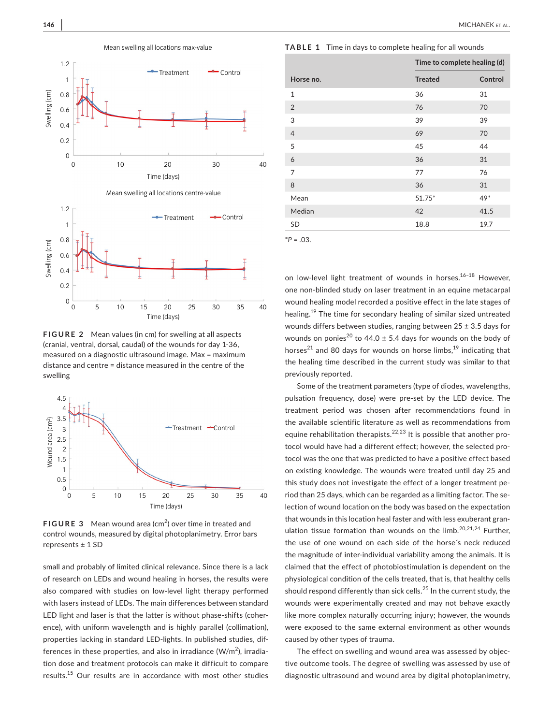

**FIGURE 2** Mean values (in cm) for swelling at all aspects (cranial, ventral, dorsal, caudal) of the wounds for day 1-36, measured on a diagnostic ultrasound image. Max = maximum distance and centre = distance measured in the centre of the swelling

Time (days)



**FIGURE 3** Mean wound area (cm<sup>2</sup>) over time in treated and control wounds, measured by digital photoplanimetry. Error bars represents ± 1 SD

small and probably of limited clinical relevance. Since there is a lack of research on LEDs and wound healing in horses, the results were also compared with studies on low-level light therapy performed with lasers instead of LEDs. The main differences between standard LED light and laser is that the latter is without phase-shifts (coherence), with uniform wavelength and is highly parallel (collimation), properties lacking in standard LED-lights. In published studies, differences in these properties, and also in irradiance (W/m $^2$ ), irradiation dose and treatment protocols can make it difficult to compare results.15 Our results are in accordance with most other studies

**TABLE 1** Time in days to complete healing for all wounds

|                | Time to complete healing (d) |         |
|----------------|------------------------------|---------|
| Horse no.      | <b>Treated</b>               | Control |
| $\mathbf{1}$   | 36                           | 31      |
| $\overline{2}$ | 76                           | 70      |
| 3              | 39                           | 39      |
| $\overline{4}$ | 69                           | 70      |
| 5              | 45                           | 44      |
| 6              | 36                           | 31      |
| 7              | 77                           | 76      |
| 8              | 36                           | 31      |
| Mean           | $51.75*$                     | 49*     |
| Median         | 42                           | 41.5    |
| SD             | 18.8                         | 19.7    |
| $*P = .03.$    |                              |         |

on low-level light treatment of wounds in horses.<sup>16-18</sup> However. one non-blinded study on laser treatment in an equine metacarpal wound healing model recorded a positive effect in the late stages of healing.<sup>19</sup> The time for secondary healing of similar sized untreated wounds differs between studies, ranging between  $25 \pm 3.5$  days for wounds on ponies<sup>20</sup> to 44.0  $\pm$  5.4 days for wounds on the body of horses<sup>21</sup> and 80 days for wounds on horse limbs,<sup>19</sup> indicating that the healing time described in the current study was similar to that previously reported.

Some of the treatment parameters (type of diodes, wavelengths, pulsation frequency, dose) were pre-set by the LED device. The treatment period was chosen after recommendations found in the available scientific literature as well as recommendations from equine rehabilitation therapists.<sup>22,23</sup> It is possible that another protocol would have had a different effect; however, the selected protocol was the one that was predicted to have a positive effect based on existing knowledge. The wounds were treated until day 25 and this study does not investigate the effect of a longer treatment period than 25 days, which can be regarded as a limiting factor. The selection of wound location on the body was based on the expectation that wounds in this location heal faster and with less exuberant granulation tissue formation than wounds on the limb.<sup>20,21,24</sup> Further, the use of one wound on each side of the horse´s neck reduced the magnitude of inter-individual variability among the animals. It is claimed that the effect of photobiostimulation is dependent on the physiological condition of the cells treated, that is, that healthy cells should respond differently than sick cells.<sup>25</sup> In the current study, the wounds were experimentally created and may not behave exactly like more complex naturally occurring injury; however, the wounds were exposed to the same external environment as other wounds caused by other types of trauma.

The effect on swelling and wound area was assessed by objective outcome tools. The degree of swelling was assessed by use of diagnostic ultrasound and wound area by digital photoplanimetry,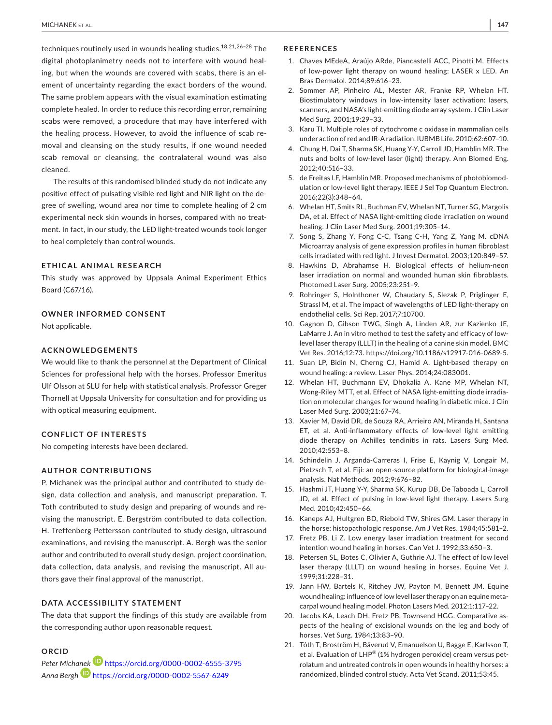techniques routinely used in wounds healing studies.<sup>18,21,26-28</sup> The digital photoplanimetry needs not to interfere with wound healing, but when the wounds are covered with scabs, there is an element of uncertainty regarding the exact borders of the wound. The same problem appears with the visual examination estimating complete healed. In order to reduce this recording error, remaining scabs were removed, a procedure that may have interfered with the healing process. However, to avoid the influence of scab removal and cleansing on the study results, if one wound needed scab removal or cleansing, the contralateral wound was also cleaned.

The results of this randomised blinded study do not indicate any positive effect of pulsating visible red light and NIR light on the degree of swelling, wound area nor time to complete healing of 2 cm experimental neck skin wounds in horses, compared with no treatment. In fact, in our study, the LED light-treated wounds took longer to heal completely than control wounds.

## **ETHICAL ANIMAL RESEARCH**

This study was approved by Uppsala Animal Experiment Ethics Board (C67/16).

#### **OWNER INFORMED CONSENT**

Not applicable.

## **ACKNOWLEDGEMENTS**

We would like to thank the personnel at the Department of Clinical Sciences for professional help with the horses. Professor Emeritus Ulf Olsson at SLU for help with statistical analysis. Professor Greger Thornell at Uppsala University for consultation and for providing us with optical measuring equipment.

#### **CONFLICT OF INTERESTS**

No competing interests have been declared.

## **AUTHOR CONTRIBUTIONS**

P. Michanek was the principal author and contributed to study design, data collection and analysis, and manuscript preparation. T. Toth contributed to study design and preparing of wounds and revising the manuscript. E. Bergström contributed to data collection. H. Treffenberg Pettersson contributed to study design, ultrasound examinations, and revising the manuscript. A. Bergh was the senior author and contributed to overall study design, project coordination, data collection, data analysis, and revising the manuscript. All authors gave their final approval of the manuscript.

## **DATA ACCESSIBILITY STATEMENT**

The data that support the findings of this study are available from the corresponding author upon reasonable request.

## **ORCID**

*Peter Mich[anek](https://orcid.org/0000-0002-5567-6249)* <https://orcid.org/0000-0002-6555-3795> *Anna Bergh* <https://orcid.org/0000-0002-5567-6249>

### **REFERENCES**

- 1. Chaves MEdeA, Araújo ARde, Piancastelli ACC, Pinotti M. Effects of low-power light therapy on wound healing: LASER x LED. An Bras Dermatol. 2014;89:616–23.
- 2. Sommer AP, Pinheiro AL, Mester AR, Franke RP, Whelan HT. Biostimulatory windows in low-intensity laser activation: lasers, scanners, and NASA's light-emitting diode array system. J Clin Laser Med Surg. 2001;19:29–33.
- 3. Karu TI. Multiple roles of cytochrome c oxidase in mammalian cells under action of red and IR-A radiation. IUBMB Life. 2010;62:607–10.
- 4. Chung H, Dai T, Sharma SK, Huang Y-Y, Carroll JD, Hamblin MR. The nuts and bolts of low-level laser (light) therapy. Ann Biomed Eng. 2012;40:516–33.
- 5. de Freitas LF, Hamblin MR. Proposed mechanisms of photobiomodulation or low-level light therapy. IEEE J Sel Top Quantum Electron. 2016;22(3):348–64.
- 6. Whelan HT, Smits RL, Buchman EV, Whelan NT, Turner SG, Margolis DA, et al. Effect of NASA light-emitting diode irradiation on wound healing. J Clin Laser Med Surg. 2001;19:305–14.
- 7. Song S, Zhang Y, Fong C-C, Tsang C-H, Yang Z, Yang M. cDNA Microarray analysis of gene expression profiles in human fibroblast cells irradiated with red light. J Invest Dermatol. 2003;120:849–57.
- 8. Hawkins D, Abrahamse H. Biological effects of helium-neon laser irradiation on normal and wounded human skin fibroblasts. Photomed Laser Surg. 2005;23:251–9.
- 9. Rohringer S, Holnthoner W, Chaudary S, Slezak P, Priglinger E, Strassl M, et al. The impact of wavelengths of LED light-therapy on endothelial cells. Sci Rep. 2017;7:10700.
- 10. Gagnon D, Gibson TWG, Singh A, Linden AR, zur Kazienko JE, LaMarre J. An in vitro method to test the safety and efficacy of lowlevel laser therapy (LLLT) in the healing of a canine skin model. BMC Vet Res. 2016;12:73. [https://doi.org/10.1186/s12917-016-0689-5.](https://doi.org/10.1186/s12917-016-0689-5)
- 11. Suan LP, Bidin N, Cherng CJ, Hamid A. Light-based therapy on wound healing: a review. Laser Phys. 2014;24:083001.
- 12. Whelan HT, Buchmann EV, Dhokalia A, Kane MP, Whelan NT, Wong-Riley MTT, et al. Effect of NASA light-emitting diode irradiation on molecular changes for wound healing in diabetic mice. J Clin Laser Med Surg. 2003;21:67–74.
- 13. Xavier M, David DR, de Souza RA, Arrieiro AN, Miranda H, Santana ET, et al. Anti-inflammatory effects of low-level light emitting diode therapy on Achilles tendinitis in rats. Lasers Surg Med. 2010;42:553–8.
- 14. Schindelin J, Arganda-Carreras I, Frise E, Kaynig V, Longair M, Pietzsch T, et al. Fiji: an open-source platform for biological-image analysis. Nat Methods. 2012;9:676–82.
- 15. Hashmi JT, Huang Y-Y, Sharma SK, Kurup DB, De Taboada L, Carroll JD, et al. Effect of pulsing in low-level light therapy. Lasers Surg Med. 2010;42:450–66.
- 16. Kaneps AJ, Hultgren BD, Riebold TW, Shires GM. Laser therapy in the horse: histopathologic response. Am J Vet Res. 1984;45:581–2.
- 17. Fretz PB, Li Z. Low energy laser irradiation treatment for second intention wound healing in horses. Can Vet J. 1992;33:650–3.
- 18. Petersen SL, Botes C, Olivier A, Guthrie AJ. The effect of low level laser therapy (LLLT) on wound healing in horses. Equine Vet J. 1999;31:228–31.
- 19. Jann HW, Bartels K, Ritchey JW, Payton M, Bennett JM. Equine wound healing: influence of low level laser therapy on an equine metacarpal wound healing model. Photon Lasers Med. 2012;1:117–22.
- 20. Jacobs KA, Leach DH, Fretz PB, Townsend HGG. Comparative aspects of the healing of excisional wounds on the leg and body of horses. Vet Surg. 1984;13:83–90.
- 21. Tóth T, Broström H, Båverud V, Emanuelson U, Bagge E, Karlsson T, et al. Evaluation of LHP® (1% hydrogen peroxide) cream versus petrolatum and untreated controls in open wounds in healthy horses: a randomized, blinded control study. Acta Vet Scand. 2011;53:45.